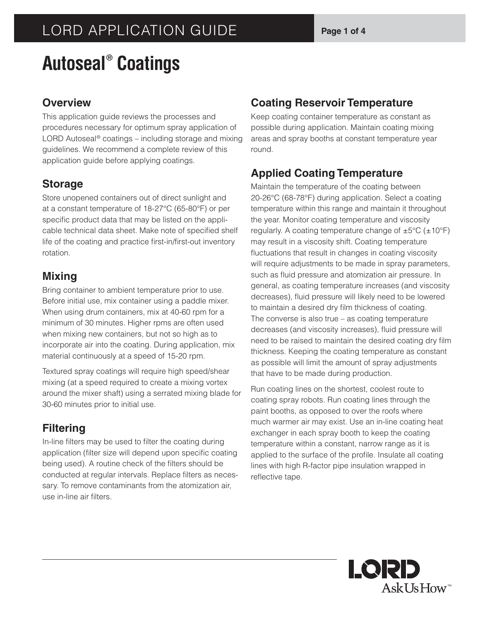# LORD APPLICATION GUIDE **Page 1 of 4**

# **Autoseal® Coatings**

#### **Overview**

This application guide reviews the processes and procedures necessary for optimum spray application of LORD Autoseal® coatings – including storage and mixing guidelines. We recommend a complete review of this application guide before applying coatings.

#### **Storage**

Store unopened containers out of direct sunlight and at a constant temperature of 18-27°C (65-80°F) or per specific product data that may be listed on the applicable technical data sheet. Make note of specified shelf life of the coating and practice first-in/first-out inventory rotation.

#### **Mixing**

Bring container to ambient temperature prior to use. Before initial use, mix container using a paddle mixer. When using drum containers, mix at 40-60 rpm for a minimum of 30 minutes. Higher rpms are often used when mixing new containers, but not so high as to incorporate air into the coating. During application, mix material continuously at a speed of 15-20 rpm.

Textured spray coatings will require high speed/shear mixing (at a speed required to create a mixing vortex around the mixer shaft) using a serrated mixing blade for 30-60 minutes prior to initial use.

# **Filtering**

In-line filters may be used to filter the coating during application (filter size will depend upon specific coating being used). A routine check of the filters should be conducted at regular intervals. Replace filters as necessary. To remove contaminants from the atomization air, use in-line air filters.

#### **Coating Reservoir Temperature**

Keep coating container temperature as constant as possible during application. Maintain coating mixing areas and spray booths at constant temperature year round.

#### **Applied Coating Temperature**

Maintain the temperature of the coating between 20-26°C (68-78°F) during application. Select a coating temperature within this range and maintain it throughout the year. Monitor coating temperature and viscosity regularly. A coating temperature change of  $\pm 5^{\circ}C$  ( $\pm 10^{\circ}F$ ) may result in a viscosity shift. Coating temperature fluctuations that result in changes in coating viscosity will require adjustments to be made in spray parameters, such as fluid pressure and atomization air pressure. In general, as coating temperature increases (and viscosity decreases), fluid pressure will likely need to be lowered to maintain a desired dry film thickness of coating. The converse is also true – as coating temperature decreases (and viscosity increases), fluid pressure will need to be raised to maintain the desired coating dry film thickness. Keeping the coating temperature as constant as possible will limit the amount of spray adjustments that have to be made during production.

Run coating lines on the shortest, coolest route to coating spray robots. Run coating lines through the paint booths, as opposed to over the roofs where much warmer air may exist. Use an in-line coating heat exchanger in each spray booth to keep the coating temperature within a constant, narrow range as it is applied to the surface of the profile. Insulate all coating lines with high R-factor pipe insulation wrapped in reflective tape.

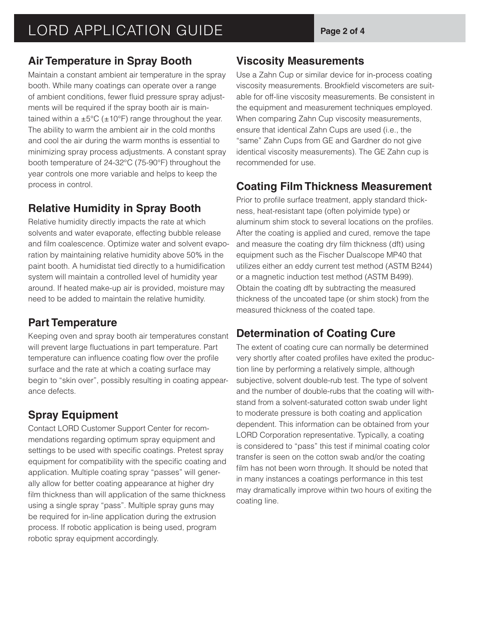#### **Air Temperature in Spray Booth**

Maintain a constant ambient air temperature in the spray booth. While many coatings can operate over a range of ambient conditions, fewer fluid pressure spray adjustments will be required if the spray booth air is maintained within a  $\pm 5^{\circ}$ C ( $\pm 10^{\circ}$ F) range throughout the year. The ability to warm the ambient air in the cold months and cool the air during the warm months is essential to minimizing spray process adjustments. A constant spray booth temperature of 24-32°C (75-90°F) throughout the year controls one more variable and helps to keep the process in control.

#### **Relative Humidity in Spray Booth**

Relative humidity directly impacts the rate at which solvents and water evaporate, effecting bubble release and film coalescence. Optimize water and solvent evaporation by maintaining relative humidity above 50% in the paint booth. A humidistat tied directly to a humidification system will maintain a controlled level of humidity year around. If heated make-up air is provided, moisture may need to be added to maintain the relative humidity.

# **Part Temperature**

Keeping oven and spray booth air temperatures constant will prevent large fluctuations in part temperature. Part temperature can influence coating flow over the profile surface and the rate at which a coating surface may begin to "skin over", possibly resulting in coating appearance defects.

# **Spray Equipment**

Contact LORD Customer Support Center for recommendations regarding optimum spray equipment and settings to be used with specific coatings. Pretest spray equipment for compatibility with the specific coating and application. Multiple coating spray "passes" will generally allow for better coating appearance at higher dry film thickness than will application of the same thickness using a single spray "pass". Multiple spray guns may be required for in-line application during the extrusion process. If robotic application is being used, program robotic spray equipment accordingly.

#### **Viscosity Measurements**

Use a Zahn Cup or similar device for in-process coating viscosity measurements. Brookfield viscometers are suitable for off-line viscosity measurements. Be consistent in the equipment and measurement techniques employed. When comparing Zahn Cup viscosity measurements, ensure that identical Zahn Cups are used (i.e., the "same" Zahn Cups from GE and Gardner do not give identical viscosity measurements). The GE Zahn cup is recommended for use.

#### **Coating Film Thickness Measurement**

Prior to profile surface treatment, apply standard thickness, heat-resistant tape (often polyimide type) or aluminum shim stock to several locations on the profiles. After the coating is applied and cured, remove the tape and measure the coating dry film thickness (dft) using equipment such as the Fischer Dualscope MP40 that utilizes either an eddy current test method (ASTM B244) or a magnetic induction test method (ASTM B499). Obtain the coating dft by subtracting the measured thickness of the uncoated tape (or shim stock) from the measured thickness of the coated tape.

# **Determination of Coating Cure**

The extent of coating cure can normally be determined very shortly after coated profiles have exited the production line by performing a relatively simple, although subjective, solvent double-rub test. The type of solvent and the number of double-rubs that the coating will withstand from a solvent-saturated cotton swab under light to moderate pressure is both coating and application dependent. This information can be obtained from your LORD Corporation representative. Typically, a coating is considered to "pass" this test if minimal coating color transfer is seen on the cotton swab and/or the coating film has not been worn through. It should be noted that in many instances a coatings performance in this test may dramatically improve within two hours of exiting the coating line.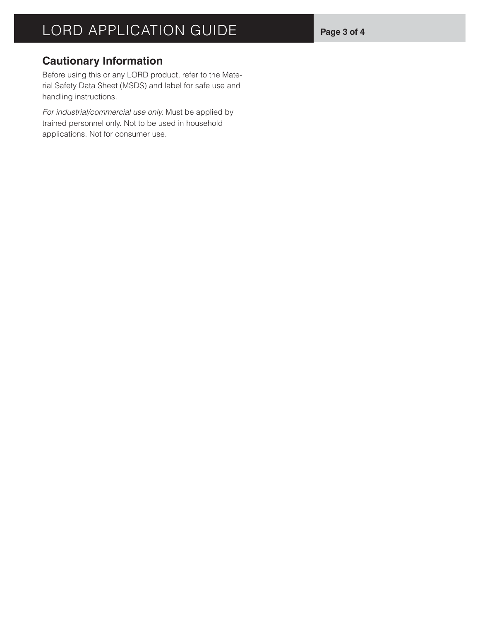#### **Cautionary Information**

Before using this or any LORD product, refer to the Material Safety Data Sheet (MSDS) and label for safe use and handling instructions.

*For industrial/commercial use only.* Must be applied by trained personnel only. Not to be used in household applications. Not for consumer use.